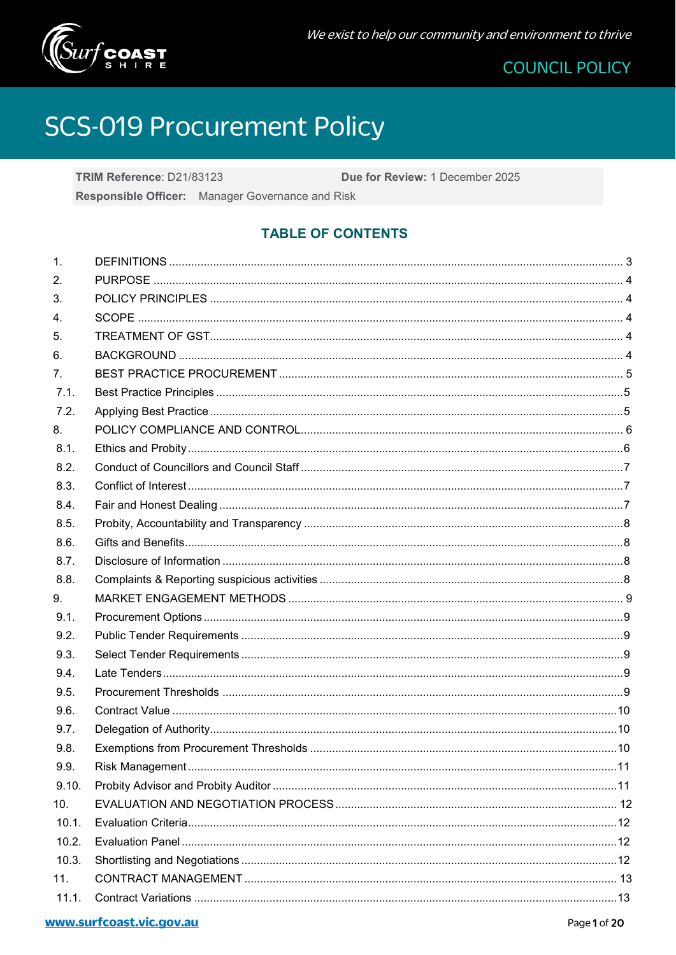

# **SCS-019 Procurement Policy**

TRIM Reference: D21/83123 Due for Review: 1 December 2025 Responsible Officer: Manager Governance and Risk

# **TABLE OF CONTENTS**

| 1.    |  |
|-------|--|
| 2.    |  |
| 3.    |  |
| 4.    |  |
| 5.    |  |
| 6.    |  |
| 7.    |  |
| 7.1.  |  |
| 7.2.  |  |
| 8.    |  |
| 8.1.  |  |
| 8.2.  |  |
| 8.3.  |  |
| 8.4.  |  |
| 8.5.  |  |
| 8.6.  |  |
| 8.7.  |  |
| 8.8.  |  |
| 9.    |  |
| 9.1.  |  |
| 9.2.  |  |
| 9.3.  |  |
| 9.4.  |  |
| 9.5.  |  |
| 9.6.  |  |
| 9.7.  |  |
| 9.8.  |  |
| 9.9.  |  |
| 9.10. |  |
| 10.   |  |
| 10.1. |  |
| 10.2. |  |
| 10.3. |  |
| 11.   |  |
| 11.1. |  |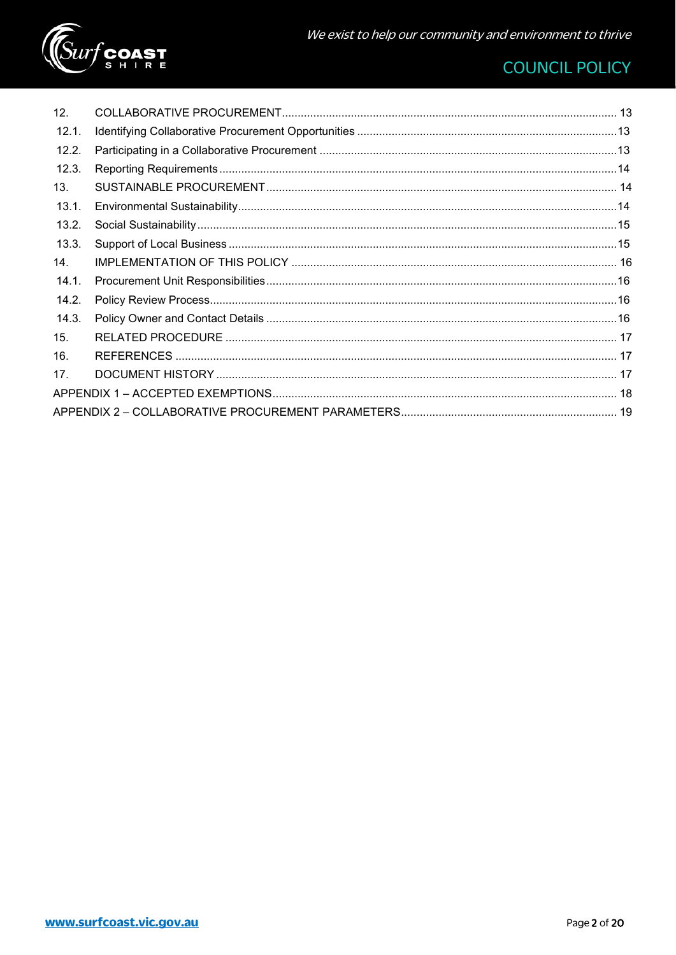

| 12 <sub>1</sub> |  |
|-----------------|--|
| 12.1.           |  |
| 12.2.           |  |
| 12.3.           |  |
| 13.             |  |
| 13.1.           |  |
| 13.2.           |  |
| 13.3.           |  |
| 14.             |  |
| 14.1.           |  |
| 14.2.           |  |
| 14.3.           |  |
| 15 <sub>1</sub> |  |
| 16.             |  |
| 17.             |  |
|                 |  |
|                 |  |
|                 |  |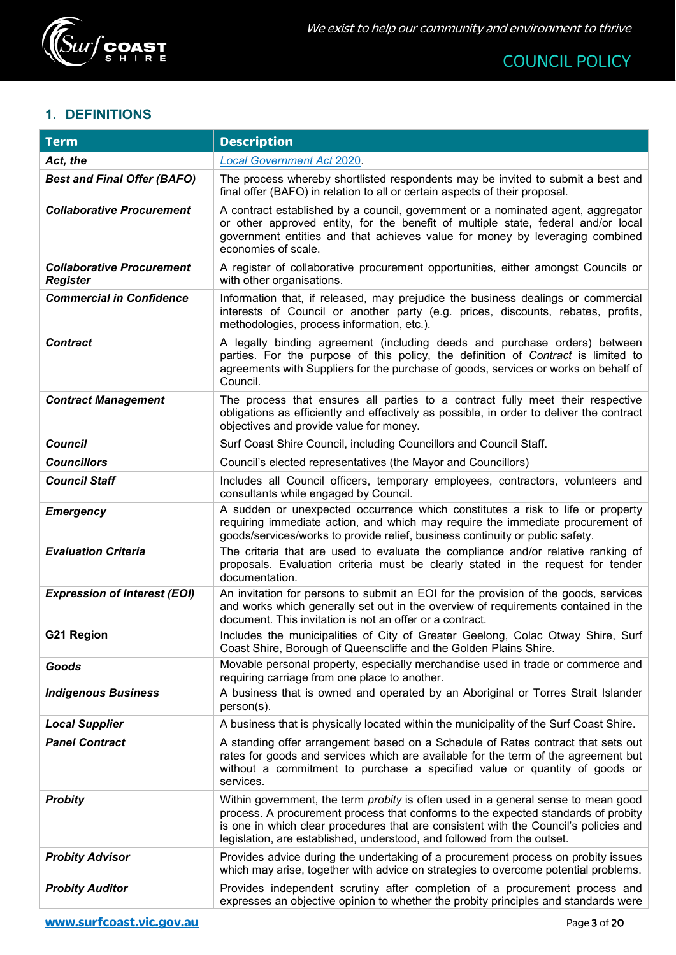

# <span id="page-2-0"></span>**1. DEFINITIONS**

| <b>Term</b>                                         | <b>Description</b>                                                                                                                                                                                                                                                                                                                               |
|-----------------------------------------------------|--------------------------------------------------------------------------------------------------------------------------------------------------------------------------------------------------------------------------------------------------------------------------------------------------------------------------------------------------|
| Act, the                                            | <b>Local Government Act 2020.</b>                                                                                                                                                                                                                                                                                                                |
| <b>Best and Final Offer (BAFO)</b>                  | The process whereby shortlisted respondents may be invited to submit a best and<br>final offer (BAFO) in relation to all or certain aspects of their proposal.                                                                                                                                                                                   |
| <b>Collaborative Procurement</b>                    | A contract established by a council, government or a nominated agent, aggregator<br>or other approved entity, for the benefit of multiple state, federal and/or local<br>government entities and that achieves value for money by leveraging combined<br>economies of scale.                                                                     |
| <b>Collaborative Procurement</b><br><b>Register</b> | A register of collaborative procurement opportunities, either amongst Councils or<br>with other organisations.                                                                                                                                                                                                                                   |
| <b>Commercial in Confidence</b>                     | Information that, if released, may prejudice the business dealings or commercial<br>interests of Council or another party (e.g. prices, discounts, rebates, profits,<br>methodologies, process information, etc.).                                                                                                                               |
| <b>Contract</b>                                     | A legally binding agreement (including deeds and purchase orders) between<br>parties. For the purpose of this policy, the definition of Contract is limited to<br>agreements with Suppliers for the purchase of goods, services or works on behalf of<br>Council.                                                                                |
| <b>Contract Management</b>                          | The process that ensures all parties to a contract fully meet their respective<br>obligations as efficiently and effectively as possible, in order to deliver the contract<br>objectives and provide value for money.                                                                                                                            |
| <b>Council</b>                                      | Surf Coast Shire Council, including Councillors and Council Staff.                                                                                                                                                                                                                                                                               |
| <b>Councillors</b>                                  | Council's elected representatives (the Mayor and Councillors)                                                                                                                                                                                                                                                                                    |
| <b>Council Staff</b>                                | Includes all Council officers, temporary employees, contractors, volunteers and<br>consultants while engaged by Council.                                                                                                                                                                                                                         |
| <b>Emergency</b>                                    | A sudden or unexpected occurrence which constitutes a risk to life or property<br>requiring immediate action, and which may require the immediate procurement of<br>goods/services/works to provide relief, business continuity or public safety.                                                                                                |
| <b>Evaluation Criteria</b>                          | The criteria that are used to evaluate the compliance and/or relative ranking of<br>proposals. Evaluation criteria must be clearly stated in the request for tender<br>documentation.                                                                                                                                                            |
| <b>Expression of Interest (EOI)</b>                 | An invitation for persons to submit an EOI for the provision of the goods, services<br>and works which generally set out in the overview of requirements contained in the<br>document. This invitation is not an offer or a contract.                                                                                                            |
| G21 Region                                          | Includes the municipalities of City of Greater Geelong, Colac Otway Shire, Surf<br>Coast Shire, Borough of Queenscliffe and the Golden Plains Shire.                                                                                                                                                                                             |
| Goods                                               | Movable personal property, especially merchandise used in trade or commerce and<br>requiring carriage from one place to another.                                                                                                                                                                                                                 |
| <b>Indigenous Business</b>                          | A business that is owned and operated by an Aboriginal or Torres Strait Islander<br>$person(s)$ .                                                                                                                                                                                                                                                |
| <b>Local Supplier</b>                               | A business that is physically located within the municipality of the Surf Coast Shire.                                                                                                                                                                                                                                                           |
| <b>Panel Contract</b>                               | A standing offer arrangement based on a Schedule of Rates contract that sets out<br>rates for goods and services which are available for the term of the agreement but<br>without a commitment to purchase a specified value or quantity of goods or<br>services.                                                                                |
| <b>Probity</b>                                      | Within government, the term <i>probity</i> is often used in a general sense to mean good<br>process. A procurement process that conforms to the expected standards of probity<br>is one in which clear procedures that are consistent with the Council's policies and<br>legislation, are established, understood, and followed from the outset. |
| <b>Probity Advisor</b>                              | Provides advice during the undertaking of a procurement process on probity issues<br>which may arise, together with advice on strategies to overcome potential problems.                                                                                                                                                                         |
| <b>Probity Auditor</b>                              | Provides independent scrutiny after completion of a procurement process and<br>expresses an objective opinion to whether the probity principles and standards were                                                                                                                                                                               |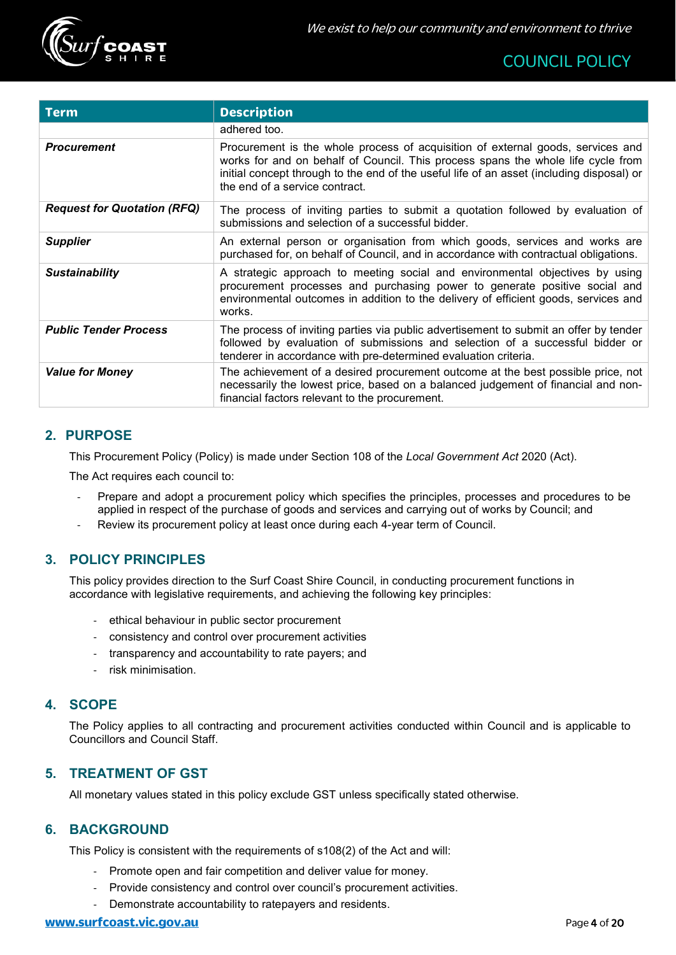

| <b>Term</b>                        | <b>Description</b>                                                                                                                                                                                                                                                                                 |
|------------------------------------|----------------------------------------------------------------------------------------------------------------------------------------------------------------------------------------------------------------------------------------------------------------------------------------------------|
|                                    | adhered too.                                                                                                                                                                                                                                                                                       |
| <b>Procurement</b>                 | Procurement is the whole process of acquisition of external goods, services and<br>works for and on behalf of Council. This process spans the whole life cycle from<br>initial concept through to the end of the useful life of an asset (including disposal) or<br>the end of a service contract. |
| <b>Request for Quotation (RFQ)</b> | The process of inviting parties to submit a quotation followed by evaluation of<br>submissions and selection of a successful bidder.                                                                                                                                                               |
| <b>Supplier</b>                    | An external person or organisation from which goods, services and works are<br>purchased for, on behalf of Council, and in accordance with contractual obligations.                                                                                                                                |
| <b>Sustainability</b>              | A strategic approach to meeting social and environmental objectives by using<br>procurement processes and purchasing power to generate positive social and<br>environmental outcomes in addition to the delivery of efficient goods, services and<br>works.                                        |
| <b>Public Tender Process</b>       | The process of inviting parties via public advertisement to submit an offer by tender<br>followed by evaluation of submissions and selection of a successful bidder or<br>tenderer in accordance with pre-determined evaluation criteria.                                                          |
| <b>Value for Money</b>             | The achievement of a desired procurement outcome at the best possible price, not<br>necessarily the lowest price, based on a balanced judgement of financial and non-<br>financial factors relevant to the procurement.                                                                            |

# <span id="page-3-0"></span>**2. PURPOSE**

This Procurement Policy (Policy) is made under Section 108 of the *Local Government Act* 2020 (Act).

The Act requires each council to:

- Prepare and adopt a procurement policy which specifies the principles, processes and procedures to be applied in respect of the purchase of goods and services and carrying out of works by Council; and
- Review its procurement policy at least once during each 4-year term of Council.

#### <span id="page-3-1"></span>**3. POLICY PRINCIPLES**

This policy provides direction to the Surf Coast Shire Council, in conducting procurement functions in accordance with legislative requirements, and achieving the following key principles:

- ethical behaviour in public sector procurement
- consistency and control over procurement activities
- transparency and accountability to rate payers; and
- risk minimisation.

# <span id="page-3-2"></span>**4. SCOPE**

The Policy applies to all contracting and procurement activities conducted within Council and is applicable to Councillors and Council Staff.

# <span id="page-3-3"></span>**5. TREATMENT OF GST**

All monetary values stated in this policy exclude GST unless specifically stated otherwise.

#### <span id="page-3-4"></span>**6. BACKGROUND**

This Policy is consistent with the requirements of s108(2) of the Act and will:

- Promote open and fair competition and deliver value for money.
- Provide consistency and control over council's procurement activities.
- Demonstrate accountability to ratepayers and residents.

#### **[www.surfcoast.vic.gov.au](http://www.surfcoast.vic.gov.au/)** Page 1 of 20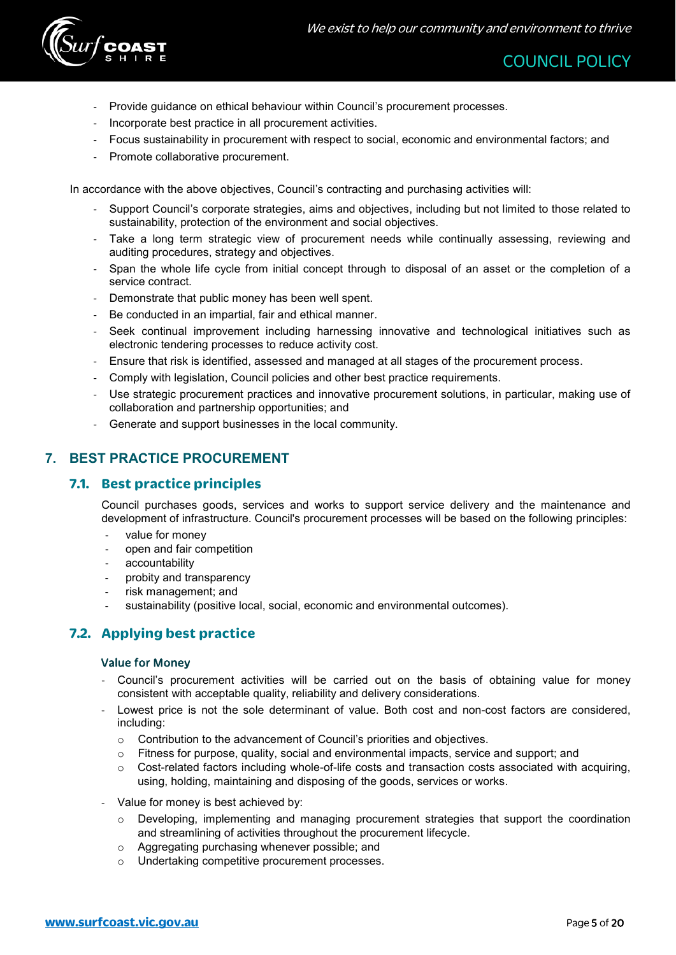

- Provide guidance on ethical behaviour within Council's procurement processes.
- Incorporate best practice in all procurement activities.
- Focus sustainability in procurement with respect to social, economic and environmental factors; and
- Promote collaborative procurement.

In accordance with the above objectives, Council's contracting and purchasing activities will:

- Support Council's corporate strategies, aims and objectives, including but not limited to those related to sustainability, protection of the environment and social objectives.
- Take a long term strategic view of procurement needs while continually assessing, reviewing and auditing procedures, strategy and objectives.
- Span the whole life cycle from initial concept through to disposal of an asset or the completion of a service contract.
- Demonstrate that public money has been well spent.
- Be conducted in an impartial, fair and ethical manner.
- Seek continual improvement including harnessing innovative and technological initiatives such as electronic tendering processes to reduce activity cost.
- Ensure that risk is identified, assessed and managed at all stages of the procurement process.
- Comply with legislation, Council policies and other best practice requirements.
- Use strategic procurement practices and innovative procurement solutions, in particular, making use of collaboration and partnership opportunities; and
- Generate and support businesses in the local community.

# <span id="page-4-1"></span><span id="page-4-0"></span>**7. BEST PRACTICE PROCUREMENT**

# **7.1. Best practice principles**

Council purchases goods, services and works to support service delivery and the maintenance and development of infrastructure. Council's procurement processes will be based on the following principles:

- value for money
- open and fair competition
- accountability
- probity and transparency
- risk management; and
- sustainability (positive local, social, economic and environmental outcomes).

# <span id="page-4-2"></span>**7.2. Applying best practice**

#### Value for Money

- Council's procurement activities will be carried out on the basis of obtaining value for money consistent with acceptable quality, reliability and delivery considerations.
- Lowest price is not the sole determinant of value. Both cost and non-cost factors are considered, including:
	- o Contribution to the advancement of Council's priorities and objectives.
	- o Fitness for purpose, quality, social and environmental impacts, service and support; and
	- $\circ$  Cost-related factors including whole-of-life costs and transaction costs associated with acquiring, using, holding, maintaining and disposing of the goods, services or works.
- Value for money is best achieved by:
	- o Developing, implementing and managing procurement strategies that support the coordination and streamlining of activities throughout the procurement lifecycle.
	- o Aggregating purchasing whenever possible; and
	- o Undertaking competitive procurement processes.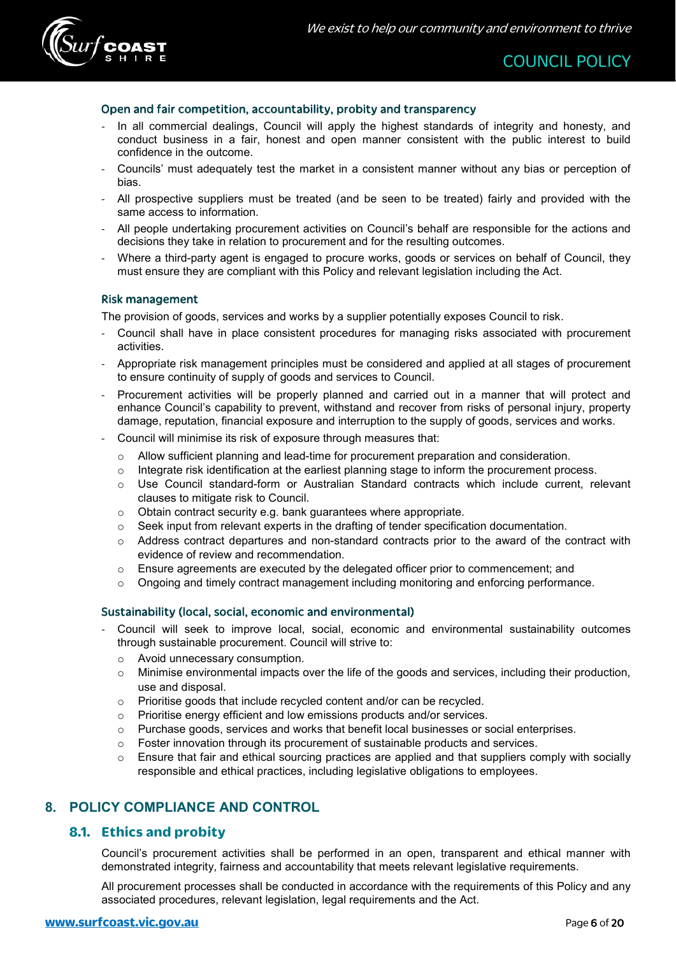

#### Open and fair competition, accountability, probity and transparency

- In all commercial dealings, Council will apply the highest standards of integrity and honesty, and conduct business in a fair, honest and open manner consistent with the public interest to build confidence in the outcome.
- Councils' must adequately test the market in a consistent manner without any bias or perception of bias.
- All prospective suppliers must be treated (and be seen to be treated) fairly and provided with the same access to information.
- All people undertaking procurement activities on Council's behalf are responsible for the actions and decisions they take in relation to procurement and for the resulting outcomes.
- Where a third-party agent is engaged to procure works, goods or services on behalf of Council, they must ensure they are compliant with this Policy and relevant legislation including the Act.

#### Risk management

The provision of goods, services and works by a supplier potentially exposes Council to risk.

- Council shall have in place consistent procedures for managing risks associated with procurement activities.
- Appropriate risk management principles must be considered and applied at all stages of procurement to ensure continuity of supply of goods and services to Council.
- Procurement activities will be properly planned and carried out in a manner that will protect and enhance Council's capability to prevent, withstand and recover from risks of personal injury, property damage, reputation, financial exposure and interruption to the supply of goods, services and works.
- Council will minimise its risk of exposure through measures that:
	- o Allow sufficient planning and lead-time for procurement preparation and consideration.
	- $\circ$  Integrate risk identification at the earliest planning stage to inform the procurement process.
	- o Use Council standard-form or Australian Standard contracts which include current, relevant clauses to mitigate risk to Council.
	- o Obtain contract security e.g. bank guarantees where appropriate.
	- o Seek input from relevant experts in the drafting of tender specification documentation.
	- o Address contract departures and non-standard contracts prior to the award of the contract with evidence of review and recommendation.
	- $\circ$  Ensure agreements are executed by the delegated officer prior to commencement; and
	- $\circ$  Ongoing and timely contract management including monitoring and enforcing performance.

#### Sustainability (local, social, economic and environmental)

- Council will seek to improve local, social, economic and environmental sustainability outcomes through sustainable procurement. Council will strive to:
	- o Avoid unnecessary consumption.
	- o Minimise environmental impacts over the life of the goods and services, including their production, use and disposal.
	- o Prioritise goods that include recycled content and/or can be recycled.
	- o Prioritise energy efficient and low emissions products and/or services.
	- $\circ$  Purchase goods, services and works that benefit local businesses or social enterprises.
	- $\circ$  Foster innovation through its procurement of sustainable products and services.
	- $\circ$  Ensure that fair and ethical sourcing practices are applied and that suppliers comply with socially responsible and ethical practices, including legislative obligations to employees.

# <span id="page-5-1"></span><span id="page-5-0"></span>**8. POLICY COMPLIANCE AND CONTROL**

#### **8.1. Ethics and probity**

Council's procurement activities shall be performed in an open, transparent and ethical manner with demonstrated integrity, fairness and accountability that meets relevant legislative requirements.

All procurement processes shall be conducted in accordance with the requirements of this Policy and any associated procedures, relevant legislation, legal requirements and the Act.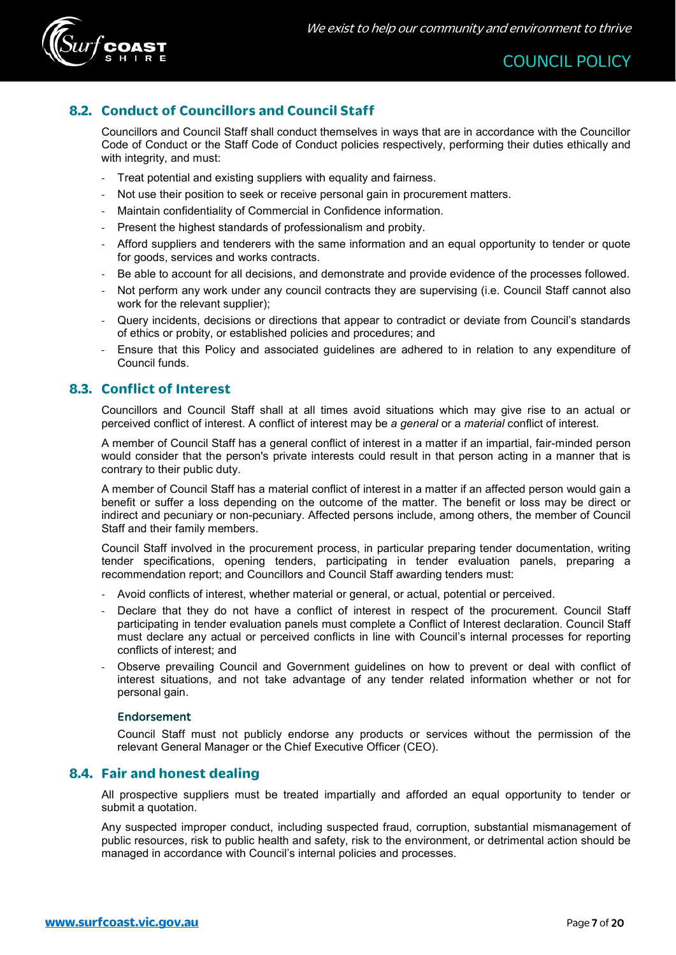

# <span id="page-6-0"></span>**8.2. Conduct of Councillors and Council Staff**

Councillors and Council Staff shall conduct themselves in ways that are in accordance with the Councillor Code of Conduct or the Staff Code of Conduct policies respectively, performing their duties ethically and with integrity, and must:

- Treat potential and existing suppliers with equality and fairness.
- Not use their position to seek or receive personal gain in procurement matters.
- Maintain confidentiality of Commercial in Confidence information.
- Present the highest standards of professionalism and probity.
- Afford suppliers and tenderers with the same information and an equal opportunity to tender or quote for goods, services and works contracts.
- Be able to account for all decisions, and demonstrate and provide evidence of the processes followed.
- Not perform any work under any council contracts they are supervising (i.e. Council Staff cannot also work for the relevant supplier);
- Query incidents, decisions or directions that appear to contradict or deviate from Council's standards of ethics or probity, or established policies and procedures; and
- Ensure that this Policy and associated guidelines are adhered to in relation to any expenditure of Council funds.

# <span id="page-6-1"></span>**8.3. Conflict of Interest**

Councillors and Council Staff shall at all times avoid situations which may give rise to an actual or perceived conflict of interest. A conflict of interest may be *a general* or a *material* conflict of interest.

A member of Council Staff has a general conflict of interest in a matter if an impartial, fair-minded person would consider that the person's private interests could result in that person acting in a manner that is contrary to their public duty.

A member of Council Staff has a material conflict of interest in a matter if an affected person would gain a benefit or suffer a loss depending on the outcome of the matter. The benefit or loss may be direct or indirect and pecuniary or non-pecuniary. Affected persons include, among others, the member of Council Staff and their family members.

Council Staff involved in the procurement process, in particular preparing tender documentation, writing tender specifications, opening tenders, participating in tender evaluation panels, preparing a recommendation report; and Councillors and Council Staff awarding tenders must:

- Avoid conflicts of interest, whether material or general, or actual, potential or perceived.
- Declare that they do not have a conflict of interest in respect of the procurement. Council Staff participating in tender evaluation panels must complete a Conflict of Interest declaration. Council Staff must declare any actual or perceived conflicts in line with Council's internal processes for reporting conflicts of interest; and
- Observe prevailing Council and Government guidelines on how to prevent or deal with conflict of interest situations, and not take advantage of any tender related information whether or not for personal gain.

#### Endorsement

Council Staff must not publicly endorse any products or services without the permission of the relevant General Manager or the Chief Executive Officer (CEO).

# <span id="page-6-2"></span>**8.4. Fair and honest dealing**

All prospective suppliers must be treated impartially and afforded an equal opportunity to tender or submit a quotation.

Any suspected improper conduct, including suspected fraud, corruption, substantial mismanagement of public resources, risk to public health and safety, risk to the environment, or detrimental action should be managed in accordance with Council's internal policies and processes.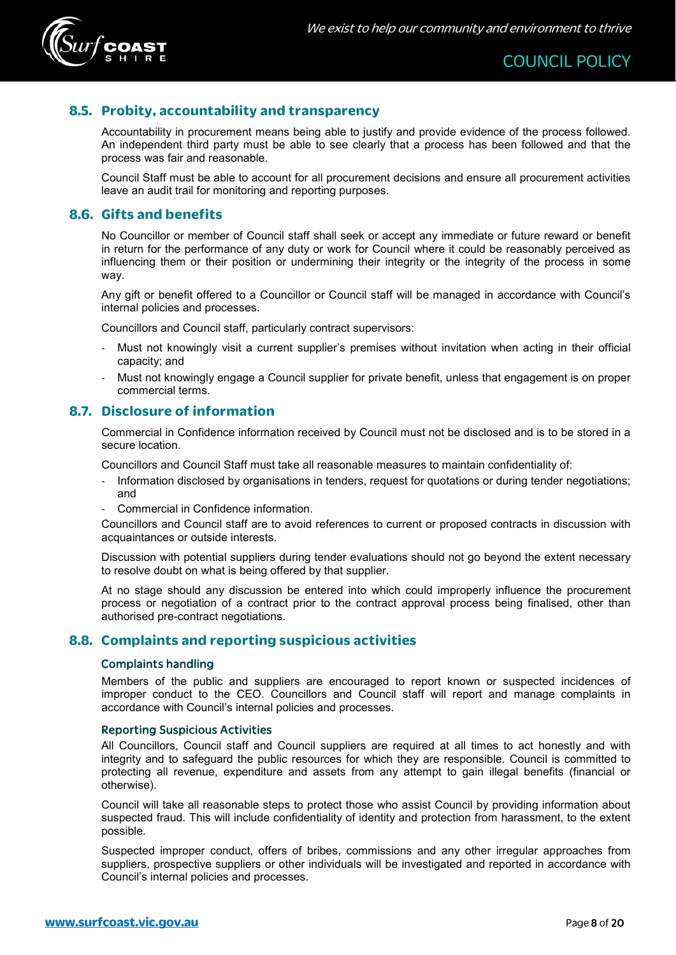

# <span id="page-7-0"></span>**8.5. Probity, accountability and transparency**

Accountability in procurement means being able to justify and provide evidence of the process followed. An independent third party must be able to see clearly that a process has been followed and that the process was fair and reasonable.

Council Staff must be able to account for all procurement decisions and ensure all procurement activities leave an audit trail for monitoring and reporting purposes.

# <span id="page-7-1"></span>**8.6. Gifts and benefits**

No Councillor or member of Council staff shall seek or accept any immediate or future reward or benefit in return for the performance of any duty or work for Council where it could be reasonably perceived as influencing them or their position or undermining their integrity or the integrity of the process in some way.

Any gift or benefit offered to a Councillor or Council staff will be managed in accordance with Council's internal policies and processes.

Councillors and Council staff, particularly contract supervisors:

- Must not knowingly visit a current supplier's premises without invitation when acting in their official capacity; and
- Must not knowingly engage a Council supplier for private benefit, unless that engagement is on proper commercial terms.

# <span id="page-7-2"></span>**8.7. Disclosure of information**

Commercial in Confidence information received by Council must not be disclosed and is to be stored in a secure location.

Councillors and Council Staff must take all reasonable measures to maintain confidentiality of:

- Information disclosed by organisations in tenders, request for quotations or during tender negotiations; and
- Commercial in Confidence information.

Councillors and Council staff are to avoid references to current or proposed contracts in discussion with acquaintances or outside interests.

Discussion with potential suppliers during tender evaluations should not go beyond the extent necessary to resolve doubt on what is being offered by that supplier.

At no stage should any discussion be entered into which could improperly influence the procurement process or negotiation of a contract prior to the contract approval process being finalised, other than authorised pre-contract negotiations.

#### <span id="page-7-3"></span>**8.8. Complaints and reporting suspicious activities**

#### Complaints handling

Members of the public and suppliers are encouraged to report known or suspected incidences of improper conduct to the CEO. Councillors and Council staff will report and manage complaints in accordance with Council's internal policies and processes.

#### Reporting Suspicious Activities

All Councillors, Council staff and Council suppliers are required at all times to act honestly and with integrity and to safeguard the public resources for which they are responsible. Council is committed to protecting all revenue, expenditure and assets from any attempt to gain illegal benefits (financial or otherwise).

Council will take all reasonable steps to protect those who assist Council by providing information about suspected fraud. This will include confidentiality of identity and protection from harassment, to the extent possible.

Suspected improper conduct, offers of bribes, commissions and any other irregular approaches from suppliers, prospective suppliers or other individuals will be investigated and reported in accordance with Council's internal policies and processes.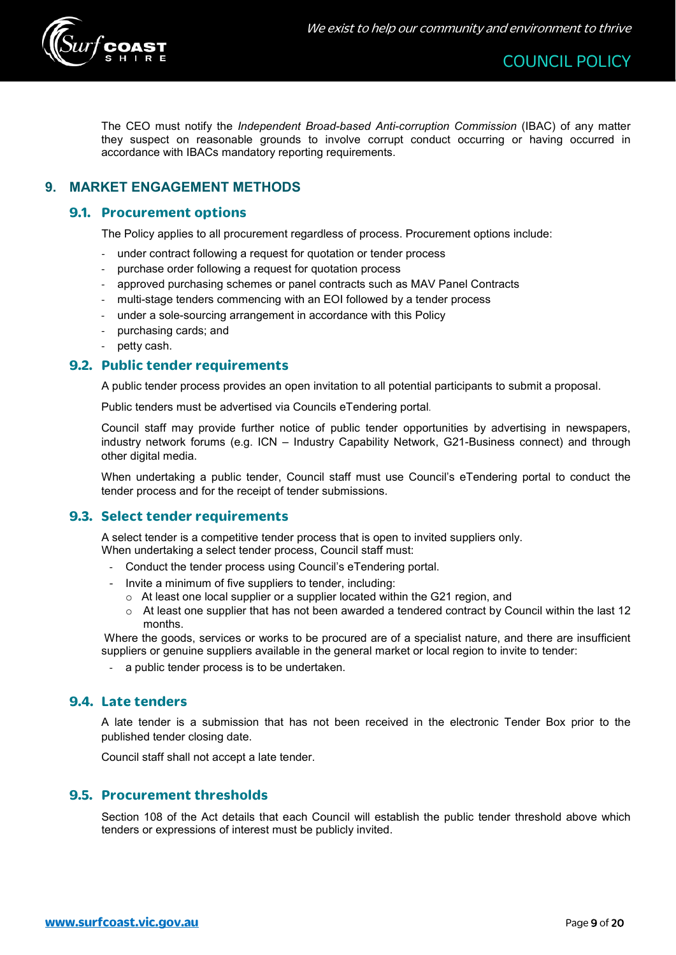

The CEO must notify the *Independent Broad-based Anti-corruption Commission* (IBAC) of any matter they suspect on reasonable grounds to involve corrupt conduct occurring or having occurred in accordance with IBACs mandatory reporting requirements.

# <span id="page-8-1"></span><span id="page-8-0"></span>**9. MARKET ENGAGEMENT METHODS**

#### **9.1. Procurement options**

The Policy applies to all procurement regardless of process. Procurement options include:

- under contract following a request for quotation or tender process
- purchase order following a request for quotation process
- approved purchasing schemes or panel contracts such as MAV Panel Contracts
- multi-stage tenders commencing with an EOI followed by a tender process
- under a sole-sourcing arrangement in accordance with this Policy
- purchasing cards; and
- petty cash.

# <span id="page-8-2"></span>**9.2. Public tender requirements**

A public tender process provides an open invitation to all potential participants to submit a proposal.

Public tenders must be advertised via Councils eTendering portal.

Council staff may provide further notice of public tender opportunities by advertising in newspapers, industry network forums (e.g. ICN – Industry Capability Network, G21-Business connect) and through other digital media.

When undertaking a public tender, Council staff must use Council's eTendering portal to conduct the tender process and for the receipt of tender submissions.

# <span id="page-8-3"></span>**9.3. Select tender requirements**

A select tender is a competitive tender process that is open to invited suppliers only. When undertaking a select tender process, Council staff must:

- Conduct the tender process using Council's eTendering portal.
- Invite a minimum of five suppliers to tender, including:
	- o At least one local supplier or a supplier located within the G21 region, and
	- $\circ$  At least one supplier that has not been awarded a tendered contract by Council within the last 12 months.

Where the goods, services or works to be procured are of a specialist nature, and there are insufficient suppliers or genuine suppliers available in the general market or local region to invite to tender:

- a public tender process is to be undertaken.

#### <span id="page-8-4"></span>**9.4. Late tenders**

A late tender is a submission that has not been received in the electronic Tender Box prior to the published tender closing date.

Council staff shall not accept a late tender.

#### <span id="page-8-5"></span>**9.5. Procurement thresholds**

Section 108 of the Act details that each Council will establish the public tender threshold above which tenders or expressions of interest must be publicly invited.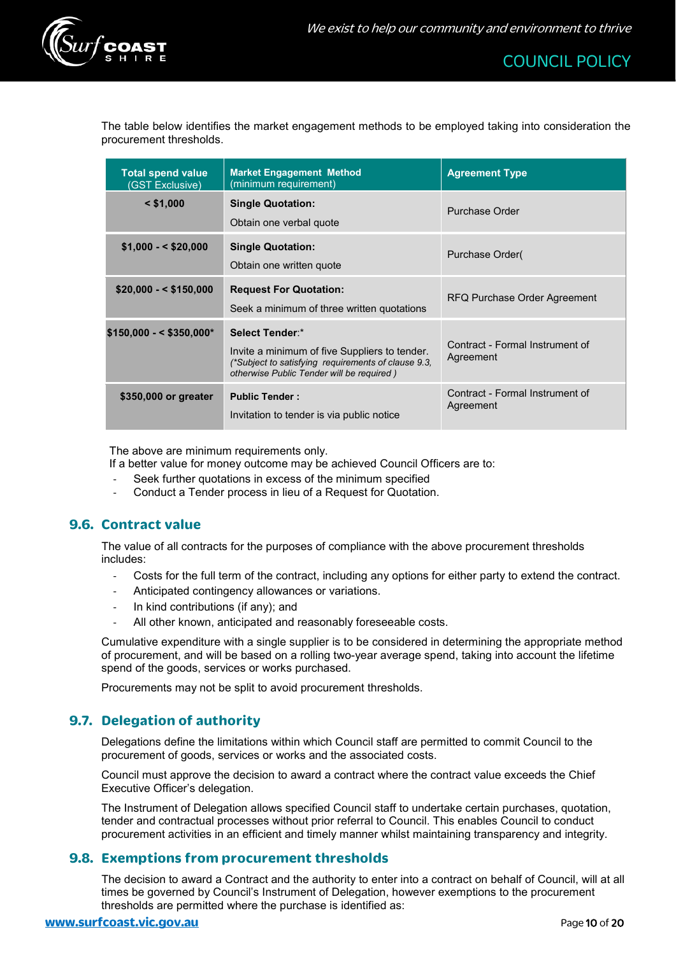

The table below identifies the market engagement methods to be employed taking into consideration the procurement thresholds.

| <b>Total spend value</b><br>(GST Exclusive) | <b>Market Engagement Method</b><br>(minimum requirement)                                                                                                             | <b>Agreement Type</b>                        |
|---------------------------------------------|----------------------------------------------------------------------------------------------------------------------------------------------------------------------|----------------------------------------------|
| $<$ \$1,000                                 | <b>Single Quotation:</b><br>Obtain one verbal quote                                                                                                                  | Purchase Order                               |
| $$1,000 - $20,000$                          | <b>Single Quotation:</b><br>Obtain one written quote                                                                                                                 | Purchase Order(                              |
| $$20,000 - $150,000$                        | <b>Request For Quotation:</b><br>Seek a minimum of three written quotations                                                                                          | RFQ Purchase Order Agreement                 |
| $$150,000 - $350,000$ *                     | Select Tender:*<br>Invite a minimum of five Suppliers to tender.<br>(*Subject to satisfying requirements of clause 9.3,<br>otherwise Public Tender will be required) | Contract - Formal Instrument of<br>Agreement |
| \$350,000 or greater                        | <b>Public Tender:</b><br>Invitation to tender is via public notice                                                                                                   | Contract - Formal Instrument of<br>Agreement |

<span id="page-9-0"></span>The above are minimum requirements only.

If a better value for money outcome may be achieved Council Officers are to:

- Seek further quotations in excess of the minimum specified
- Conduct a Tender process in lieu of a Request for Quotation.

# **9.6. Contract value**

The value of all contracts for the purposes of compliance with the above procurement thresholds includes:

- Costs for the full term of the contract, including any options for either party to extend the contract.
- Anticipated contingency allowances or variations.
- In kind contributions (if any); and
- All other known, anticipated and reasonably foreseeable costs.

Cumulative expenditure with a single supplier is to be considered in determining the appropriate method of procurement, and will be based on a rolling two-year average spend, taking into account the lifetime spend of the goods, services or works purchased.

Procurements may not be split to avoid procurement thresholds.

# <span id="page-9-1"></span>**9.7. Delegation of authority**

Delegations define the limitations within which Council staff are permitted to commit Council to the procurement of goods, services or works and the associated costs.

Council must approve the decision to award a contract where the contract value exceeds the Chief Executive Officer's delegation.

The Instrument of Delegation allows specified Council staff to undertake certain purchases, quotation, tender and contractual processes without prior referral to Council. This enables Council to conduct procurement activities in an efficient and timely manner whilst maintaining transparency and integrity.

#### <span id="page-9-2"></span>**9.8. Exemptions from procurement thresholds**

The decision to award a Contract and the authority to enter into a contract on behalf of Council, will at all times be governed by Council's Instrument of Delegation, however exemptions to the procurement thresholds are permitted where the purchase is identified as: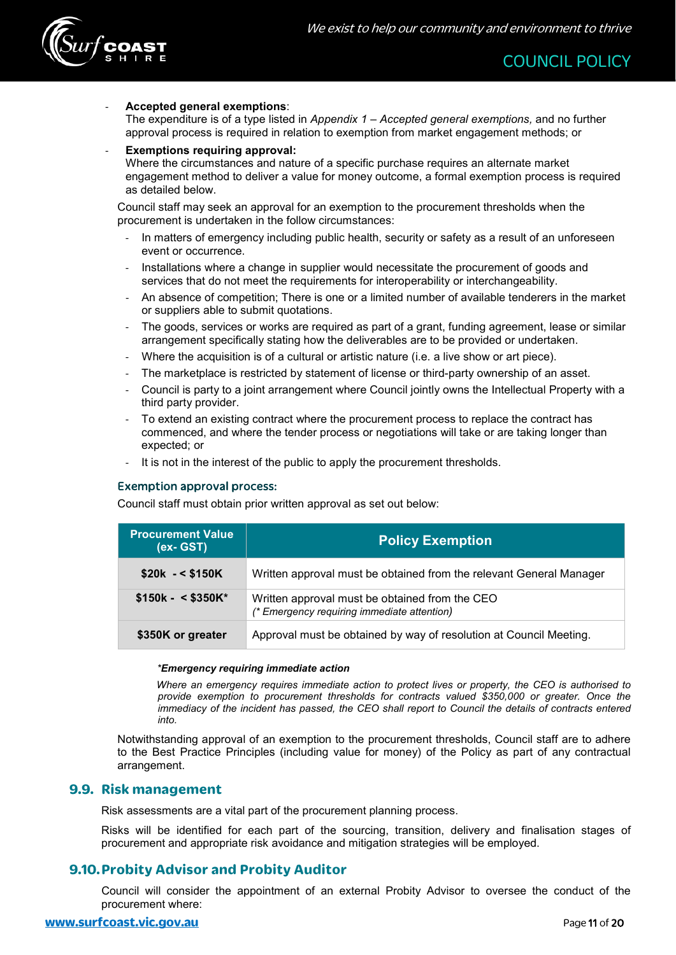

#### - **Accepted general exemptions**:

The expenditure is of a type listed in *Appendix 1 – Accepted general exemptions,* and no further approval process is required in relation to exemption from market engagement methods; or

#### - **Exemptions requiring approval:**

Where the circumstances and nature of a specific purchase requires an alternate market engagement method to deliver a value for money outcome, a formal exemption process is required as detailed below.

Council staff may seek an approval for an exemption to the procurement thresholds when the procurement is undertaken in the follow circumstances:

- In matters of emergency including public health, security or safety as a result of an unforeseen event or occurrence.
- Installations where a change in supplier would necessitate the procurement of goods and services that do not meet the requirements for interoperability or interchangeability.
- An absence of competition; There is one or a limited number of available tenderers in the market or suppliers able to submit quotations.
- The goods, services or works are required as part of a grant, funding agreement, lease or similar arrangement specifically stating how the deliverables are to be provided or undertaken.
- Where the acquisition is of a cultural or artistic nature (i.e. a live show or art piece).
- The marketplace is restricted by statement of license or third-party ownership of an asset.
- Council is party to a joint arrangement where Council jointly owns the Intellectual Property with a third party provider.
- To extend an existing contract where the procurement process to replace the contract has commenced, and where the tender process or negotiations will take or are taking longer than expected; or
- It is not in the interest of the public to apply the procurement thresholds.

#### Exemption approval process:

Council staff must obtain prior written approval as set out below:

| <b>Procurement Value</b><br>(ex- GST) | <b>Policy Exemption</b>                                                                       |
|---------------------------------------|-----------------------------------------------------------------------------------------------|
| $$20k - $150K$                        | Written approval must be obtained from the relevant General Manager                           |
| $$150k - $350K^*$                     | Written approval must be obtained from the CEO<br>(* Emergency requiring immediate attention) |
| \$350K or greater                     | Approval must be obtained by way of resolution at Council Meeting.                            |

#### *\*Emergency requiring immediate action*

*Where an emergency requires immediate action to protect lives or property, the CEO is authorised to provide exemption to procurement thresholds for contracts valued \$350,000 or greater. Once the immediacy of the incident has passed, the CEO shall report to Council the details of contracts entered into.*

Notwithstanding approval of an exemption to the procurement thresholds, Council staff are to adhere to the Best Practice Principles (including value for money) of the Policy as part of any contractual arrangement.

#### <span id="page-10-0"></span>**9.9. Risk management**

Risk assessments are a vital part of the procurement planning process.

Risks will be identified for each part of the sourcing, transition, delivery and finalisation stages of procurement and appropriate risk avoidance and mitigation strategies will be employed.

# <span id="page-10-1"></span>**9.10.Probity Advisor and Probity Auditor**

Council will consider the appointment of an external Probity Advisor to oversee the conduct of the procurement where: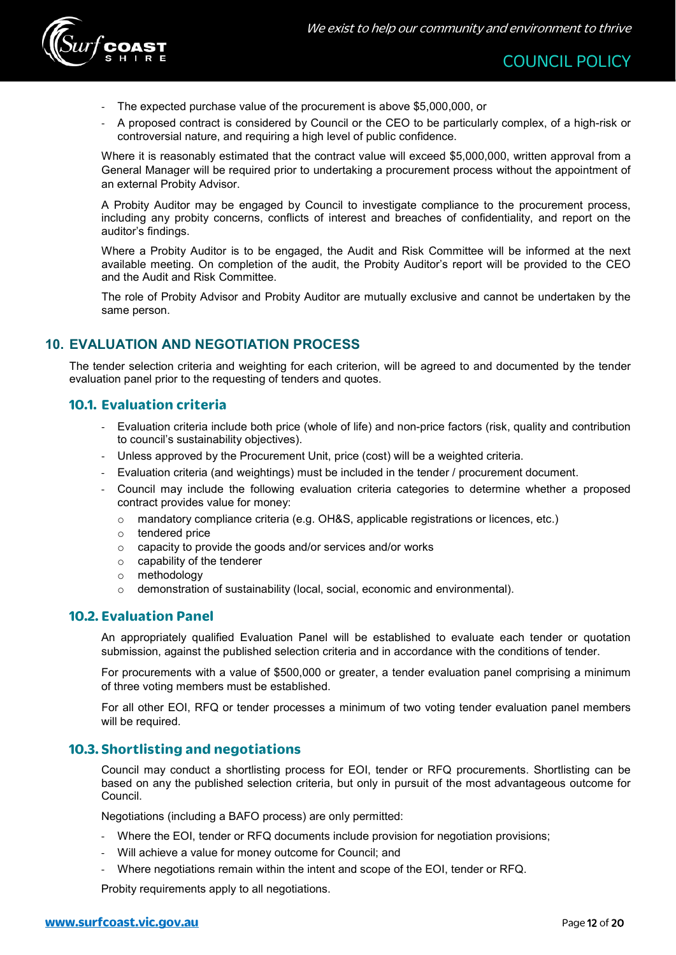

- The expected purchase value of the procurement is above \$5,000,000, or
- A proposed contract is considered by Council or the CEO to be particularly complex, of a high-risk or controversial nature, and requiring a high level of public confidence.

Where it is reasonably estimated that the contract value will exceed \$5,000,000, written approval from a General Manager will be required prior to undertaking a procurement process without the appointment of an external Probity Advisor.

A Probity Auditor may be engaged by Council to investigate compliance to the procurement process, including any probity concerns, conflicts of interest and breaches of confidentiality, and report on the auditor's findings.

Where a Probity Auditor is to be engaged, the Audit and Risk Committee will be informed at the next available meeting. On completion of the audit, the Probity Auditor's report will be provided to the CEO and the Audit and Risk Committee.

The role of Probity Advisor and Probity Auditor are mutually exclusive and cannot be undertaken by the same person.

# <span id="page-11-0"></span>**10. EVALUATION AND NEGOTIATION PROCESS**

The tender selection criteria and weighting for each criterion, will be agreed to and documented by the tender evaluation panel prior to the requesting of tenders and quotes.

# <span id="page-11-1"></span>**10.1. Evaluation criteria**

- Evaluation criteria include both price (whole of life) and non-price factors (risk, quality and contribution to council's sustainability objectives).
- Unless approved by the Procurement Unit, price (cost) will be a weighted criteria.
- Evaluation criteria (and weightings) must be included in the tender / procurement document.
- Council may include the following evaluation criteria categories to determine whether a proposed contract provides value for money:
	- o mandatory compliance criteria (e.g. OH&S, applicable registrations or licences, etc.)
	- o tendered price
	- o capacity to provide the goods and/or services and/or works
	- o capability of the tenderer
	- o methodology
	- $\circ$  demonstration of sustainability (local, social, economic and environmental).

# <span id="page-11-2"></span>**10.2. Evaluation Panel**

An appropriately qualified Evaluation Panel will be established to evaluate each tender or quotation submission, against the published selection criteria and in accordance with the conditions of tender.

For procurements with a value of \$500,000 or greater, a tender evaluation panel comprising a minimum of three voting members must be established.

For all other EOI, RFQ or tender processes a minimum of two voting tender evaluation panel members will be required.

# <span id="page-11-3"></span>**10.3. Shortlisting and negotiations**

Council may conduct a shortlisting process for EOI, tender or RFQ procurements. Shortlisting can be based on any the published selection criteria, but only in pursuit of the most advantageous outcome for Council.

Negotiations (including a BAFO process) are only permitted:

- Where the EOI, tender or RFQ documents include provision for negotiation provisions;
- Will achieve a value for money outcome for Council; and
- Where negotiations remain within the intent and scope of the EOI, tender or RFQ.

Probity requirements apply to all negotiations.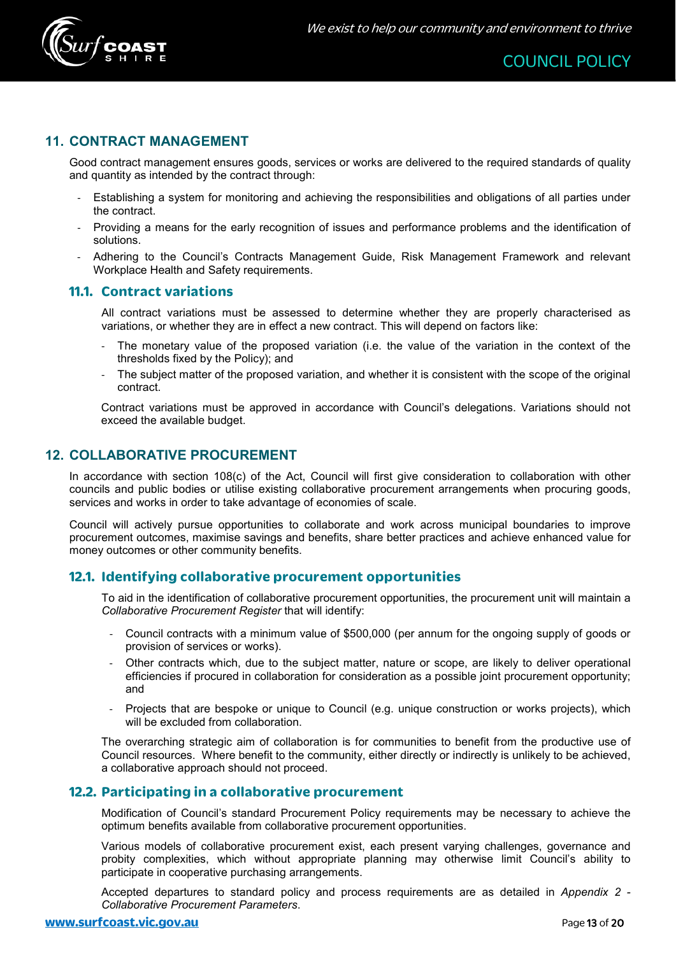

# <span id="page-12-0"></span>**11. CONTRACT MANAGEMENT**

Good contract management ensures goods, services or works are delivered to the required standards of quality and quantity as intended by the contract through:

- Establishing a system for monitoring and achieving the responsibilities and obligations of all parties under the contract.
- Providing a means for the early recognition of issues and performance problems and the identification of solutions.
- Adhering to the Council's Contracts Management Guide, Risk Management Framework and relevant Workplace Health and Safety requirements.

#### <span id="page-12-1"></span>**11.1. Contract variations**

All contract variations must be assessed to determine whether they are properly characterised as variations, or whether they are in effect a new contract. This will depend on factors like:

- The monetary value of the proposed variation (i.e. the value of the variation in the context of the thresholds fixed by the Policy); and
- The subject matter of the proposed variation, and whether it is consistent with the scope of the original contract.

Contract variations must be approved in accordance with Council's delegations. Variations should not exceed the available budget.

# <span id="page-12-2"></span>**12. COLLABORATIVE PROCUREMENT**

In accordance with section 108(c) of the Act, Council will first give consideration to collaboration with other councils and public bodies or utilise existing collaborative procurement arrangements when procuring goods, services and works in order to take advantage of economies of scale.

Council will actively pursue opportunities to collaborate and work across municipal boundaries to improve procurement outcomes, maximise savings and benefits, share better practices and achieve enhanced value for money outcomes or other community benefits.

#### <span id="page-12-3"></span>**12.1. Identifying collaborative procurement opportunities**

To aid in the identification of collaborative procurement opportunities, the procurement unit will maintain a *Collaborative Procurement Register* that will identify:

- Council contracts with a minimum value of \$500,000 (per annum for the ongoing supply of goods or provision of services or works).
- Other contracts which, due to the subject matter, nature or scope, are likely to deliver operational efficiencies if procured in collaboration for consideration as a possible joint procurement opportunity; and
- Projects that are bespoke or unique to Council (e.g. unique construction or works projects), which will be excluded from collaboration.

The overarching strategic aim of collaboration is for communities to benefit from the productive use of Council resources. Where benefit to the community, either directly or indirectly is unlikely to be achieved, a collaborative approach should not proceed.

#### <span id="page-12-4"></span>**12.2. Participating in a collaborative procurement**

Modification of Council's standard Procurement Policy requirements may be necessary to achieve the optimum benefits available from collaborative procurement opportunities.

Various models of collaborative procurement exist, each present varying challenges, governance and probity complexities, which without appropriate planning may otherwise limit Council's ability to participate in cooperative purchasing arrangements.

Accepted departures to standard policy and process requirements are as detailed in *Appendix 2 - Collaborative Procurement Parameters*.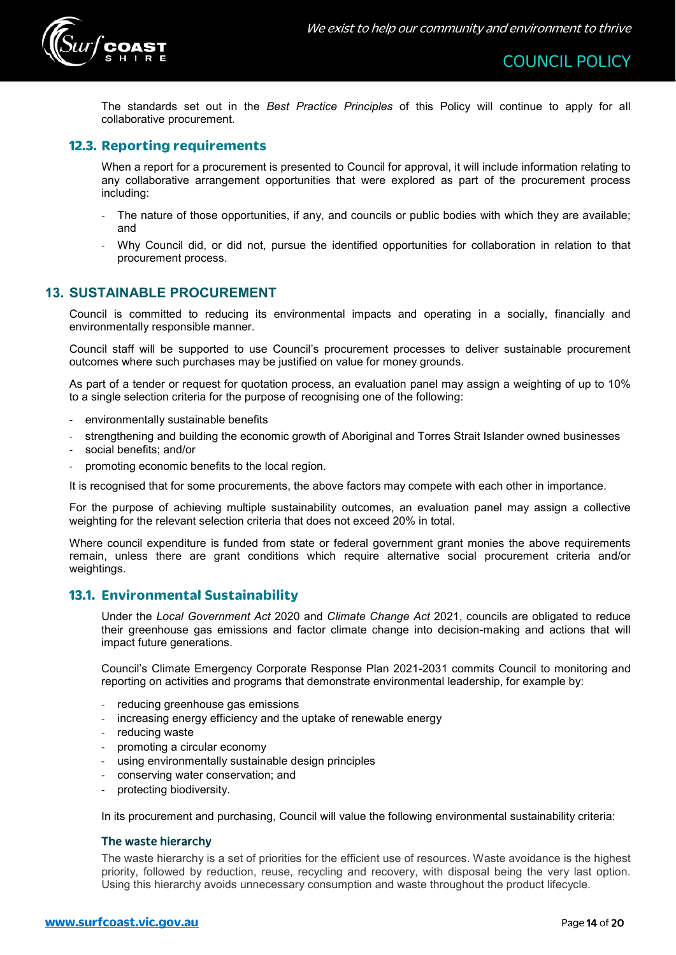

The standards set out in the *Best Practice Principles* of this Policy will continue to apply for all collaborative procurement.

# <span id="page-13-0"></span>**12.3. Reporting requirements**

When a report for a procurement is presented to Council for approval, it will include information relating to any collaborative arrangement opportunities that were explored as part of the procurement process including:

- The nature of those opportunities, if any, and councils or public bodies with which they are available; and
- Why Council did, or did not, pursue the identified opportunities for collaboration in relation to that procurement process.

# <span id="page-13-1"></span>**13. SUSTAINABLE PROCUREMENT**

Council is committed to reducing its environmental impacts and operating in a socially, financially and environmentally responsible manner.

Council staff will be supported to use Council's procurement processes to deliver sustainable procurement outcomes where such purchases may be justified on value for money grounds.

As part of a tender or request for quotation process, an evaluation panel may assign a weighting of up to 10% to a single selection criteria for the purpose of recognising one of the following:

- environmentally sustainable benefits
- strengthening and building the economic growth of Aboriginal and Torres Strait Islander owned businesses
- social benefits; and/or
- promoting economic benefits to the local region.

It is recognised that for some procurements, the above factors may compete with each other in importance.

For the purpose of achieving multiple sustainability outcomes, an evaluation panel may assign a collective weighting for the relevant selection criteria that does not exceed 20% in total.

Where council expenditure is funded from state or federal government grant monies the above requirements remain, unless there are grant conditions which require alternative social procurement criteria and/or weightings.

# <span id="page-13-2"></span>**13.1. Environmental Sustainability**

Under the *Local Government Act* 2020 and *Climate Change Act* 2021, councils are obligated to reduce their greenhouse gas emissions and factor climate change into decision-making and actions that will impact future generations.

Council's Climate Emergency Corporate Response Plan 2021-2031 commits Council to monitoring and reporting on activities and programs that demonstrate environmental leadership, for example by:

- reducing greenhouse gas emissions
- increasing energy efficiency and the uptake of renewable energy
- reducing waste
- promoting a circular economy
- using environmentally sustainable design principles
- conserving water conservation; and
- protecting biodiversity.

In its procurement and purchasing, Council will value the following environmental sustainability criteria:

#### The waste hierarchy

The waste hierarchy is a set of priorities for the efficient use of resources. Waste avoidance is the highest priority, followed by reduction, reuse, recycling and recovery, with disposal being the very last option. Using this hierarchy avoids unnecessary consumption and waste throughout the product lifecycle.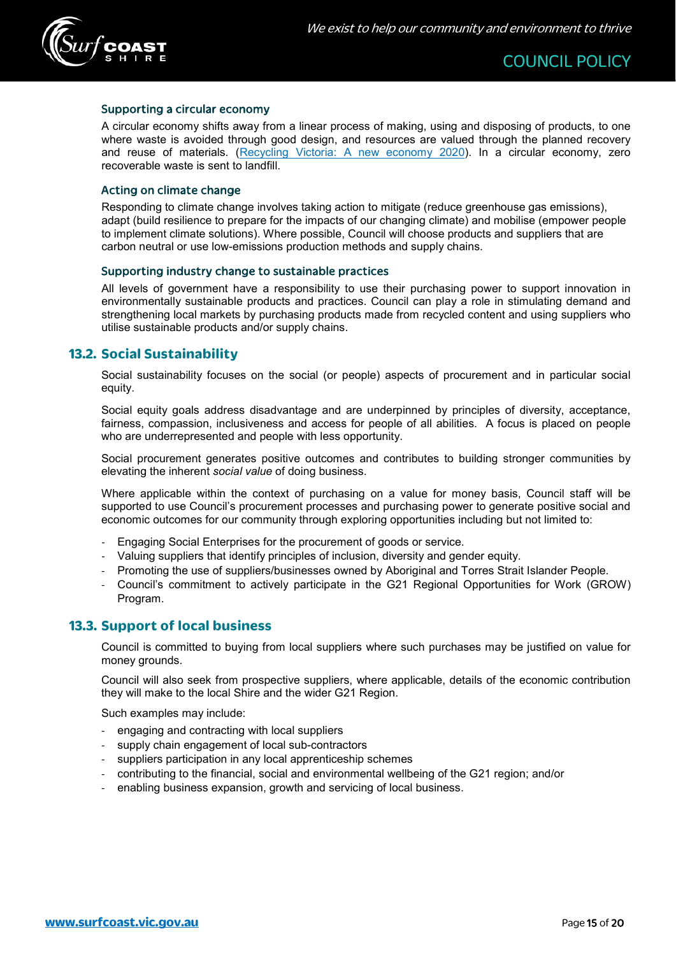

#### Supporting a circular economy

A circular economy shifts away from a linear process of making, using and disposing of products, to one where waste is avoided through good design, and resources are valued through the planned recovery and reuse of materials. [\(Recycling Victoria: A new economy 2020\)](https://www.vic.gov.au/sites/default/files/2020-02/Recycling%20Victoria%20A%20new%20economy.pdf). In a circular economy, zero recoverable waste is sent to landfill.

#### Acting on climate change

Responding to climate change involves taking action to mitigate (reduce greenhouse gas emissions), adapt (build resilience to prepare for the impacts of our changing climate) and mobilise (empower people to implement climate solutions). Where possible, Council will choose products and suppliers that are carbon neutral or use low-emissions production methods and supply chains.

#### Supporting industry change to sustainable practices

All levels of government have a responsibility to use their purchasing power to support innovation in environmentally sustainable products and practices. Council can play a role in stimulating demand and strengthening local markets by purchasing products made from recycled content and using suppliers who utilise sustainable products and/or supply chains.

#### <span id="page-14-0"></span>**13.2. Social Sustainability**

Social sustainability focuses on the social (or people) aspects of procurement and in particular social equity.

Social equity goals address disadvantage and are underpinned by principles of diversity, acceptance, fairness, compassion, inclusiveness and access for people of all abilities. A focus is placed on people who are underrepresented and people with less opportunity.

Social procurement generates positive outcomes and contributes to building stronger communities by elevating the inherent *social value* of doing business.

Where applicable within the context of purchasing on a value for money basis, Council staff will be supported to use Council's procurement processes and purchasing power to generate positive social and economic outcomes for our community through exploring opportunities including but not limited to:

- Engaging Social Enterprises for the procurement of goods or service.
- Valuing suppliers that identify principles of inclusion, diversity and gender equity.
- Promoting the use of suppliers/businesses owned by Aboriginal and Torres Strait Islander People.
- Council's commitment to actively participate in the G21 Regional Opportunities for Work (GROW) Program.

#### <span id="page-14-1"></span>**13.3. Support of local business**

Council is committed to buying from local suppliers where such purchases may be justified on value for money grounds.

Council will also seek from prospective suppliers, where applicable, details of the economic contribution they will make to the local Shire and the wider G21 Region.

Such examples may include:

- engaging and contracting with local suppliers
- supply chain engagement of local sub-contractors
- suppliers participation in any local apprenticeship schemes
- contributing to the financial, social and environmental wellbeing of the G21 region; and/or
- enabling business expansion, growth and servicing of local business.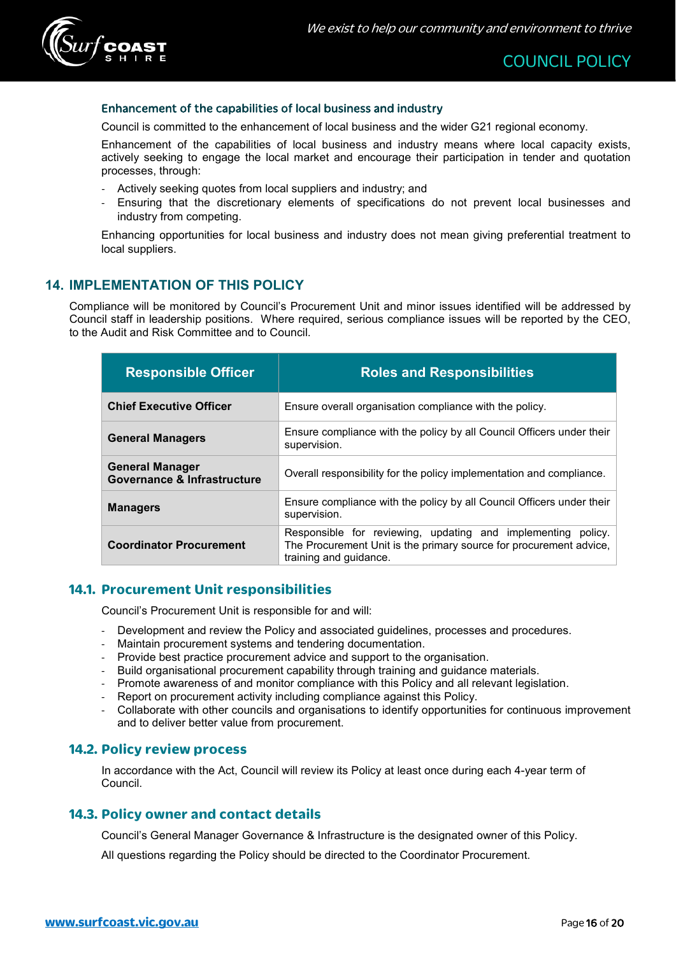

#### Enhancement of the capabilities of local business and industry

Council is committed to the enhancement of local business and the wider G21 regional economy.

Enhancement of the capabilities of local business and industry means where local capacity exists, actively seeking to engage the local market and encourage their participation in tender and quotation processes, through:

- Actively seeking quotes from local suppliers and industry; and
- Ensuring that the discretionary elements of specifications do not prevent local businesses and industry from competing.

Enhancing opportunities for local business and industry does not mean giving preferential treatment to local suppliers.

# <span id="page-15-0"></span>**14. IMPLEMENTATION OF THIS POLICY**

Compliance will be monitored by Council's Procurement Unit and minor issues identified will be addressed by Council staff in leadership positions. Where required, serious compliance issues will be reported by the CEO, to the Audit and Risk Committee and to Council.

| <b>Responsible Officer</b>                                       | <b>Roles and Responsibilities</b>                                                                                                                            |
|------------------------------------------------------------------|--------------------------------------------------------------------------------------------------------------------------------------------------------------|
| <b>Chief Executive Officer</b>                                   | Ensure overall organisation compliance with the policy.                                                                                                      |
| <b>General Managers</b>                                          | Ensure compliance with the policy by all Council Officers under their<br>supervision.                                                                        |
| <b>General Manager</b><br><b>Governance &amp; Infrastructure</b> | Overall responsibility for the policy implementation and compliance.                                                                                         |
| <b>Managers</b>                                                  | Ensure compliance with the policy by all Council Officers under their<br>supervision.                                                                        |
| <b>Coordinator Procurement</b>                                   | Responsible for reviewing, updating and implementing policy.<br>The Procurement Unit is the primary source for procurement advice,<br>training and quidance. |

#### <span id="page-15-1"></span>**14.1. Procurement Unit responsibilities**

Council's Procurement Unit is responsible for and will:

- Development and review the Policy and associated guidelines, processes and procedures.
- Maintain procurement systems and tendering documentation.
- Provide best practice procurement advice and support to the organisation.
- Build organisational procurement capability through training and guidance materials.
- Promote awareness of and monitor compliance with this Policy and all relevant legislation.
- Report on procurement activity including compliance against this Policy.
- Collaborate with other councils and organisations to identify opportunities for continuous improvement and to deliver better value from procurement.

#### <span id="page-15-2"></span>**14.2. Policy review process**

In accordance with the Act, Council will review its Policy at least once during each 4-year term of Council.

#### <span id="page-15-3"></span>**14.3. Policy owner and contact details**

Council's General Manager Governance & Infrastructure is the designated owner of this Policy.

All questions regarding the Policy should be directed to the Coordinator Procurement.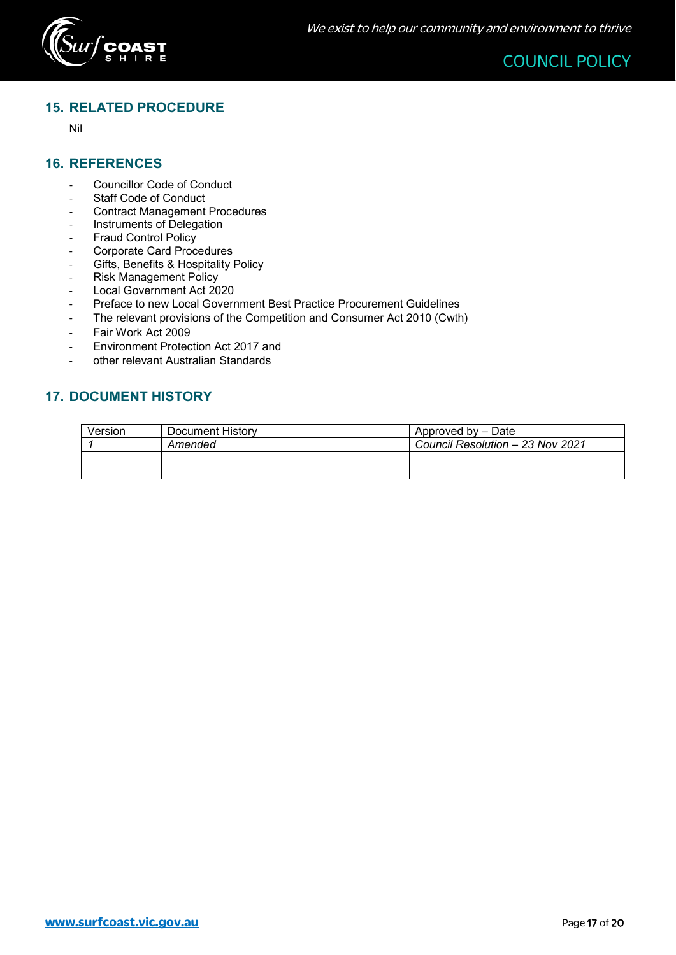

# <span id="page-16-0"></span>**15. RELATED PROCEDURE**

Nil

# <span id="page-16-1"></span>**16. REFERENCES**

- Councillor Code of Conduct
- Staff Code of Conduct
- Contract Management Procedures
- Instruments of Delegation
- Fraud Control Policy
- Corporate Card Procedures
- Gifts, Benefits & Hospitality Policy<br>- Risk Management Policy
- Risk Management Policy<br>- Local Government Act 20
- Local Government Act 2020<br>- Preface to new Local Govern
- Preface to new Local Government Best Practice Procurement Guidelines
- The relevant provisions of the Competition and Consumer Act 2010 (Cwth)
- Fair Work Act 2009
- Environment Protection Act 2017 and
- other relevant Australian Standards

# <span id="page-16-2"></span>**17. DOCUMENT HISTORY**

| Version | Document History | Approved by – Date               |
|---------|------------------|----------------------------------|
|         | Amended          | Council Resolution - 23 Nov 2021 |
|         |                  |                                  |
|         |                  |                                  |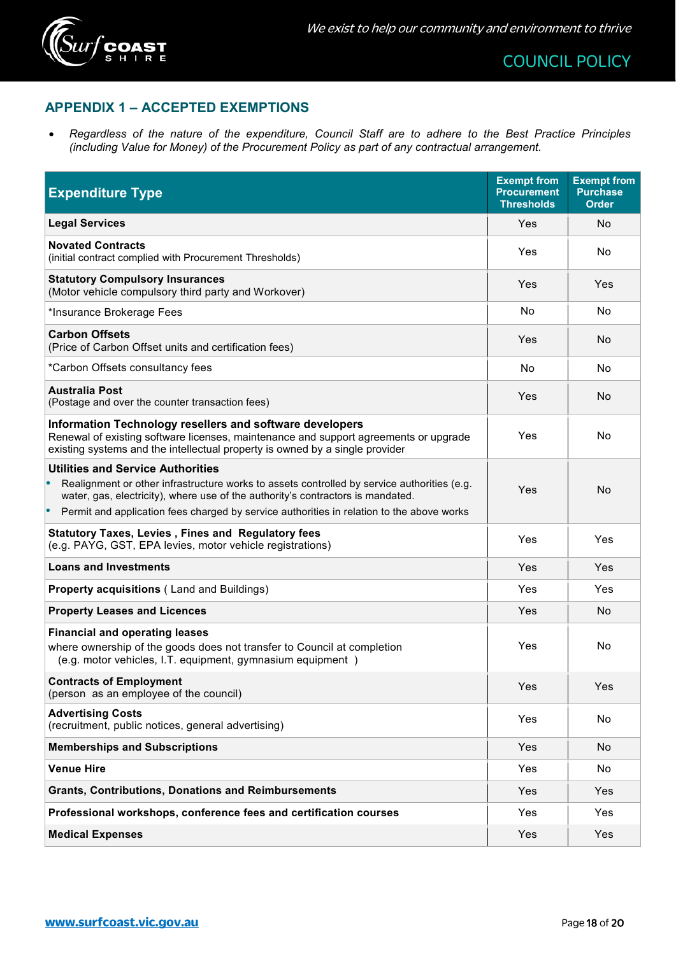

# <span id="page-17-0"></span>**APPENDIX 1 – ACCEPTED EXEMPTIONS**

• *Regardless of the nature of the expenditure, Council Staff are to adhere to the Best Practice Principles (including Value for Money) of the Procurement Policy as part of any contractual arrangement.*

| <b>Expenditure Type</b>                                                                                                                                                                                                          | <b>Exempt from</b><br><b>Procurement</b><br><b>Thresholds</b> | <b>Exempt from</b><br><b>Purchase</b><br><b>Order</b> |
|----------------------------------------------------------------------------------------------------------------------------------------------------------------------------------------------------------------------------------|---------------------------------------------------------------|-------------------------------------------------------|
| <b>Legal Services</b>                                                                                                                                                                                                            | Yes                                                           | No.                                                   |
| <b>Novated Contracts</b><br>(initial contract complied with Procurement Thresholds)                                                                                                                                              | Yes                                                           | No.                                                   |
| <b>Statutory Compulsory Insurances</b><br>(Motor vehicle compulsory third party and Workover)                                                                                                                                    | Yes                                                           | Yes                                                   |
| *Insurance Brokerage Fees                                                                                                                                                                                                        | No                                                            | No.                                                   |
| <b>Carbon Offsets</b><br>(Price of Carbon Offset units and certification fees)                                                                                                                                                   | Yes                                                           | No                                                    |
| *Carbon Offsets consultancy fees                                                                                                                                                                                                 | No                                                            | No.                                                   |
| <b>Australia Post</b><br>(Postage and over the counter transaction fees)                                                                                                                                                         | Yes                                                           | No                                                    |
| Information Technology resellers and software developers<br>Renewal of existing software licenses, maintenance and support agreements or upgrade<br>existing systems and the intellectual property is owned by a single provider | Yes                                                           | No                                                    |
| <b>Utilities and Service Authorities</b><br>Realignment or other infrastructure works to assets controlled by service authorities (e.g.<br>water, gas, electricity), where use of the authority's contractors is mandated.       | Yes                                                           | No                                                    |
| Permit and application fees charged by service authorities in relation to the above works                                                                                                                                        |                                                               |                                                       |
| <b>Statutory Taxes, Levies, Fines and Regulatory fees</b><br>(e.g. PAYG, GST, EPA levies, motor vehicle registrations)                                                                                                           | Yes                                                           | Yes                                                   |
| <b>Loans and Investments</b>                                                                                                                                                                                                     | Yes                                                           | Yes                                                   |
| <b>Property acquisitions (Land and Buildings)</b>                                                                                                                                                                                | Yes                                                           | Yes                                                   |
| <b>Property Leases and Licences</b>                                                                                                                                                                                              | Yes                                                           | No                                                    |
| <b>Financial and operating leases</b><br>where ownership of the goods does not transfer to Council at completion<br>(e.g. motor vehicles, I.T. equipment, gymnasium equipment)                                                   | Yes                                                           | No.                                                   |
| <b>Contracts of Employment</b><br>(person as an employee of the council)                                                                                                                                                         | Yes                                                           | Yes                                                   |
| <b>Advertising Costs</b><br>(recruitment, public notices, general advertising)                                                                                                                                                   | Yes                                                           | No                                                    |
| <b>Memberships and Subscriptions</b>                                                                                                                                                                                             | Yes                                                           | <b>No</b>                                             |
| <b>Venue Hire</b>                                                                                                                                                                                                                | Yes                                                           | No                                                    |
| <b>Grants, Contributions, Donations and Reimbursements</b>                                                                                                                                                                       | Yes                                                           | <b>Yes</b>                                            |
| Professional workshops, conference fees and certification courses                                                                                                                                                                | Yes                                                           | Yes                                                   |
| <b>Medical Expenses</b>                                                                                                                                                                                                          | Yes                                                           | Yes                                                   |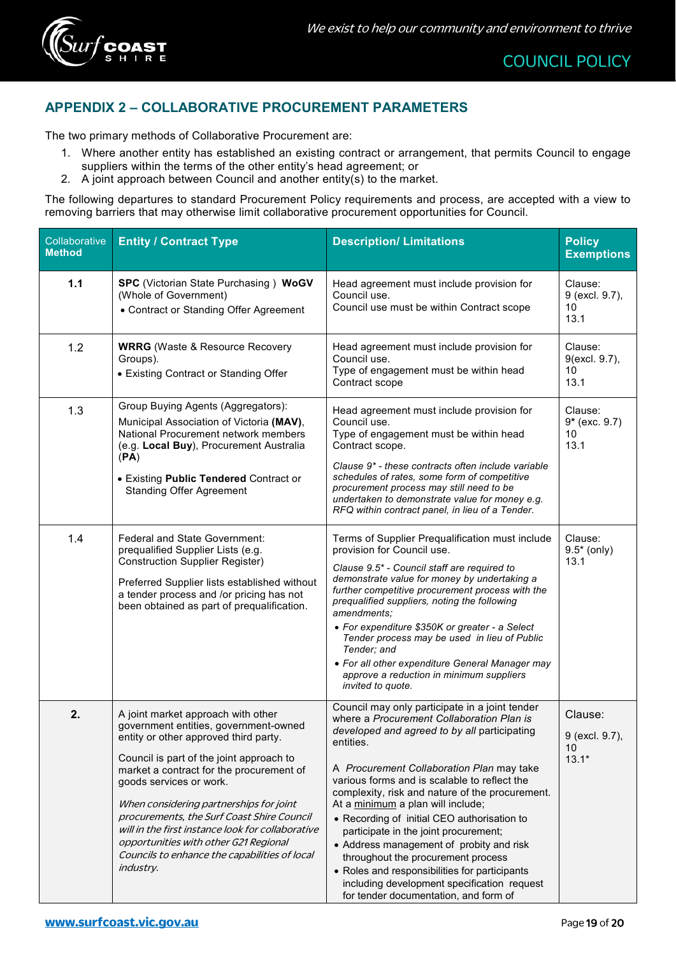

# <span id="page-18-0"></span>**APPENDIX 2 – COLLABORATIVE PROCUREMENT PARAMETERS**

The two primary methods of Collaborative Procurement are:

- 1. Where another entity has established an existing contract or arrangement, that permits Council to engage suppliers within the terms of the other entity's head agreement; or
- 2. A joint approach between Council and another entity(s) to the market.

The following departures to standard Procurement Policy requirements and process, are accepted with a view to removing barriers that may otherwise limit collaborative procurement opportunities for Council.

| Collaborative<br><b>Method</b> | <b>Entity / Contract Type</b>                                                                                                                                                                                                                                                                                                                                                                                                                                                                       | <b>Description/ Limitations</b>                                                                                                                                                                                                                                                                                                                                                                                                                                                                                                                                                                                                                                  | <b>Policy</b><br><b>Exemptions</b>         |
|--------------------------------|-----------------------------------------------------------------------------------------------------------------------------------------------------------------------------------------------------------------------------------------------------------------------------------------------------------------------------------------------------------------------------------------------------------------------------------------------------------------------------------------------------|------------------------------------------------------------------------------------------------------------------------------------------------------------------------------------------------------------------------------------------------------------------------------------------------------------------------------------------------------------------------------------------------------------------------------------------------------------------------------------------------------------------------------------------------------------------------------------------------------------------------------------------------------------------|--------------------------------------------|
| $1.1$                          | <b>SPC</b> (Victorian State Purchasing) WoGV<br>(Whole of Government)<br>• Contract or Standing Offer Agreement                                                                                                                                                                                                                                                                                                                                                                                     | Head agreement must include provision for<br>Council use.<br>Council use must be within Contract scope                                                                                                                                                                                                                                                                                                                                                                                                                                                                                                                                                           | Clause:<br>9 (excl. 9.7),<br>10<br>13.1    |
| 1.2                            | <b>WRRG</b> (Waste & Resource Recovery<br>Groups).<br>• Existing Contract or Standing Offer                                                                                                                                                                                                                                                                                                                                                                                                         | Head agreement must include provision for<br>Council use.<br>Type of engagement must be within head<br>Contract scope                                                                                                                                                                                                                                                                                                                                                                                                                                                                                                                                            | Clause:<br>9(excl. 9.7),<br>10<br>13.1     |
| 1.3                            | Group Buying Agents (Aggregators):<br>Municipal Association of Victoria (MAV),<br>National Procurement network members<br>(e.g. Local Buy), Procurement Australia<br>(PA)<br>• Existing Public Tendered Contract or<br><b>Standing Offer Agreement</b>                                                                                                                                                                                                                                              | Head agreement must include provision for<br>Council use.<br>Type of engagement must be within head<br>Contract scope.<br>Clause 9* - these contracts often include variable<br>schedules of rates, some form of competitive<br>procurement process may still need to be<br>undertaken to demonstrate value for money e.g.<br>RFQ within contract panel, in lieu of a Tender.                                                                                                                                                                                                                                                                                    | Clause:<br>$9*$ (exc. 9.7)<br>10<br>13.1   |
| 1.4                            | <b>Federal and State Government:</b><br>prequalified Supplier Lists (e.g.<br><b>Construction Supplier Register)</b><br>Preferred Supplier lists established without<br>a tender process and /or pricing has not<br>been obtained as part of prequalification.                                                                                                                                                                                                                                       | Terms of Supplier Prequalification must include<br>provision for Council use.<br>Clause 9.5* - Council staff are required to<br>demonstrate value for money by undertaking a<br>further competitive procurement process with the<br>prequalified suppliers, noting the following<br>amendments;<br>• For expenditure \$350K or greater - a Select<br>Tender process may be used in lieu of Public<br>Tender; and<br>• For all other expenditure General Manager may<br>approve a reduction in minimum suppliers<br>invited to quote.                                                                                                                             | Clause:<br>$9.5*$ (only)<br>13.1           |
| 2.                             | A joint market approach with other<br>government entities, government-owned<br>entity or other approved third party.<br>Council is part of the joint approach to<br>market a contract for the procurement of<br>goods services or work.<br>When considering partnerships for joint<br>procurements, the Surf Coast Shire Council<br>will in the first instance look for collaborative<br>opportunities with other G21 Regional<br>Councils to enhance the capabilities of local<br><i>industry.</i> | Council may only participate in a joint tender<br>where a Procurement Collaboration Plan is<br>developed and agreed to by all participating<br>entities.<br>A Procurement Collaboration Plan may take<br>various forms and is scalable to reflect the<br>complexity, risk and nature of the procurement.<br>At a minimum a plan will include;<br>• Recording of initial CEO authorisation to<br>participate in the joint procurement;<br>• Address management of probity and risk<br>throughout the procurement process<br>• Roles and responsibilities for participants<br>including development specification request<br>for tender documentation, and form of | Clause:<br>9 (excl. 9.7),<br>10<br>$13.1*$ |